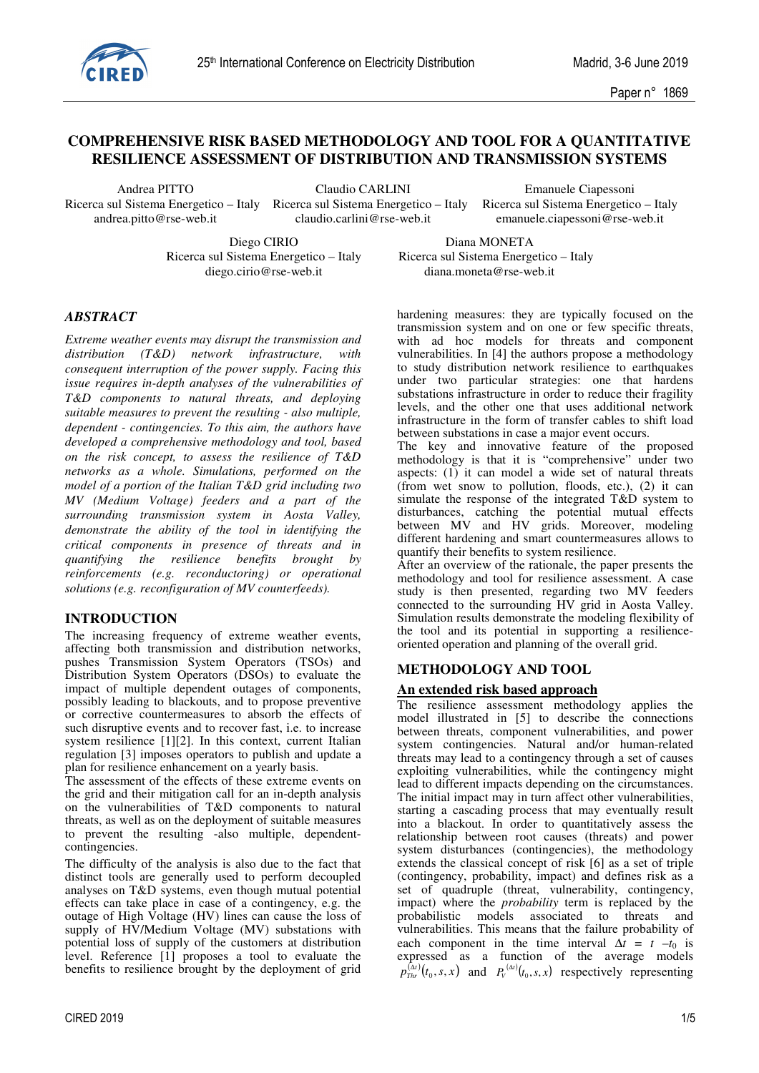

# **COMPREHENSIVE RISK BASED METHODOLOGY AND TOOL FOR A QUANTITATIVE RESILIENCE ASSESSMENT OF DISTRIBUTION AND TRANSMISSION SYSTEMS**

Ricerca sul Sistema Energetico – Italy Ricerca sul Sistema Energetico – Italy andrea.pitto @rse-web.it claudio.carlini@rse-web.it emanuele.ciapessoni@rse-web.it

Andrea PITTO Claudio CARLINI Emanuele Ciapessoni

emanuele.ciapessoni@rse-web.it

Diego CIRIO Diana MONETA

 Ricerca sul Sistema Energetico – Italy Ricerca sul Sistema Energetico – Italy diego.cirio@rse-web.it diana.moneta@rse-web.it

## *ABSTRACT*

*Extreme weather events may disrupt the transmission and distribution (T&D) network infrastructure, with consequent interruption of the power supply. Facing this issue requires in-depth analyses of the vulnerabilities of T&D components to natural threats, and deploying suitable measures to prevent the resulting - also multiple, dependent - contingencies. To this aim, the authors have developed a comprehensive methodology and tool, based on the risk concept, to assess the resilience of T&D networks as a whole. Simulations, performed on the model of a portion of the Italian T&D grid including two MV (Medium Voltage) feeders and a part of the surrounding transmission system in Aosta Valley, demonstrate the ability of the tool in identifying the critical components in presence of threats and in quantifying the resilience benefits brought by reinforcements (e.g. reconductoring) or operational solutions (e.g. reconfiguration of MV counterfeeds).* 

## **INTRODUCTION**

The increasing frequency of extreme weather events, affecting both transmission and distribution networks, pushes Transmission System Operators (TSOs) and Distribution System Operators (DSOs) to evaluate the impact of multiple dependent outages of components, possibly leading to blackouts, and to propose preventive or corrective countermeasures to absorb the effects of such disruptive events and to recover fast, i.e. to increase system resilience [1][2]. In this context, current Italian regulation [3] imposes operators to publish and update a plan for resilience enhancement on a yearly basis.

The assessment of the effects of these extreme events on the grid and their mitigation call for an in-depth analysis on the vulnerabilities of T&D components to natural threats, as well as on the deployment of suitable measures to prevent the resulting -also multiple, dependentcontingencies.

The difficulty of the analysis is also due to the fact that distinct tools are generally used to perform decoupled analyses on T&D systems, even though mutual potential effects can take place in case of a contingency, e.g. the outage of High Voltage (HV) lines can cause the loss of supply of HV/Medium Voltage (MV) substations with potential loss of supply of the customers at distribution level. Reference [1] proposes a tool to evaluate the benefits to resilience brought by the deployment of grid hardening measures: they are typically focused on the transmission system and on one or few specific threats, with ad hoc models for threats and component vulnerabilities. In [4] the authors propose a methodology to study distribution network resilience to earthquakes under two particular strategies: one that hardens substations infrastructure in order to reduce their fragility levels, and the other one that uses additional network infrastructure in the form of transfer cables to shift load between substations in case a major event occurs.

The key and innovative feature of the proposed methodology is that it is "comprehensive" under two aspects:  $(1)$  it can model a wide set of natural threats (from wet snow to pollution, floods, etc.), (2) it can simulate the response of the integrated  $T\&D$  system to disturbances, catching the potential mutual effects between MV and HV grids. Moreover, modeling different hardening and smart countermeasures allows to quantify their benefits to system resilience.

After an overview of the rationale, the paper presents the methodology and tool for resilience assessment. A case study is then presented, regarding two MV feeders connected to the surrounding HV grid in Aosta Valley. Simulation results demonstrate the modeling flexibility of the tool and its potential in supporting a resilienceoriented operation and planning of the overall grid.

## **METHODOLOGY AND TOOL**

### **An extended risk based approach**

The resilience assessment methodology applies the model illustrated in [5] to describe the connections between threats, component vulnerabilities, and power system contingencies. Natural and/or human-related threats may lead to a contingency through a set of causes exploiting vulnerabilities, while the contingency might lead to different impacts depending on the circumstances. The initial impact may in turn affect other vulnerabilities, starting a cascading process that may eventually result into a blackout. In order to quantitatively assess the relationship between root causes (threats) and power system disturbances (contingencies), the methodology extends the classical concept of risk [6] as a set of triple (contingency, probability, impact) and defines risk as a set of quadruple (threat, vulnerability, contingency, impact) where the *probability* term is replaced by the probabilistic models associated to threats and probabilistic models associated to threats vulnerabilities. This means that the failure probability of each component in the time interval  $\Delta t = t - t_0$  is expressed as a function of the average models  $p_{\text{thr}}^{(\Delta t)}(t_0, s, x)$  and  $P_{V}^{(\Delta t)}(t_0, s, x)$  respectively representing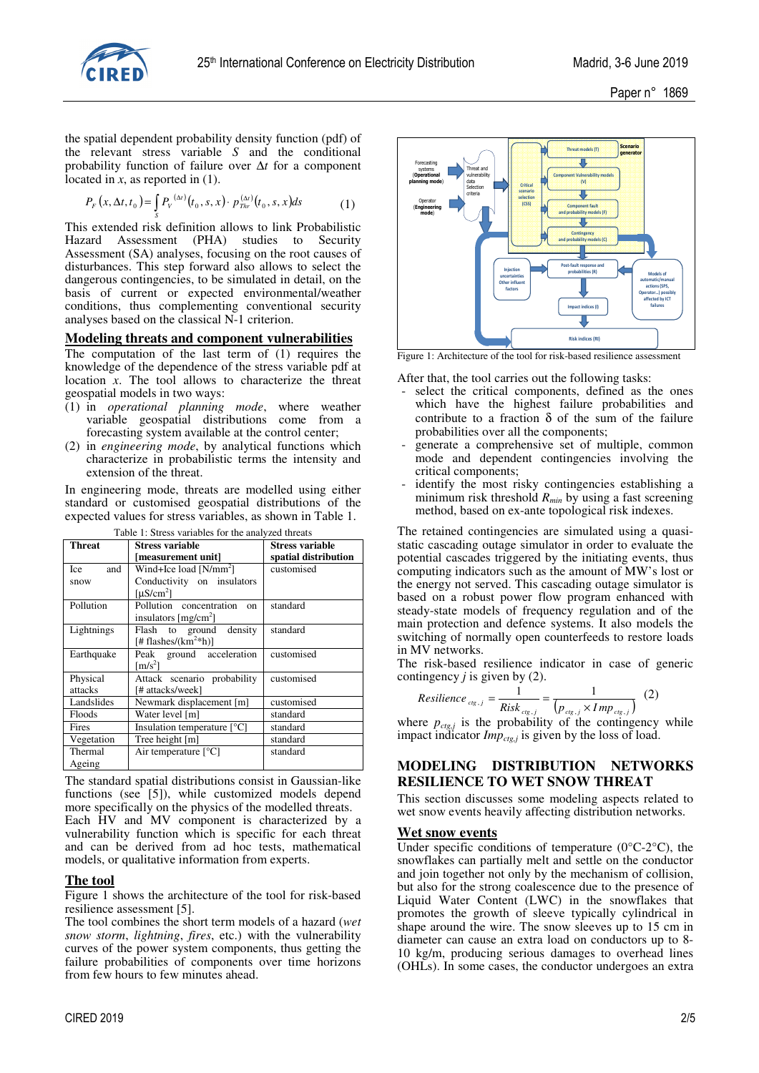

the spatial dependent probability density function (pdf) of the relevant stress variable *S* and the conditional probability function of failure over ∆*t* for a component located in *x*, as reported in (1).

$$
P_F(x, \Delta t, t_0) = \int_S P_V^{(\Delta t)}(t_0, s, x) \cdot p_{Thr}^{(\Delta t)}(t_0, s, x) ds \tag{1}
$$

This extended risk definition allows to link Probabilistic Hazard Assessment (PHA) studies to Security Assessment (SA) analyses, focusing on the root causes of disturbances. This step forward also allows to select the dangerous contingencies, to be simulated in detail, on the basis of current or expected environmental/weather conditions, thus complementing conventional security analyses based on the classical N-1 criterion.

### **Modeling threats and component vulnerabilities**

The computation of the last term of (1) requires the knowledge of the dependence of the stress variable pdf at location *x*. The tool allows to characterize the threat geospatial models in two ways:

- (1) in *operational planning mode*, where weather variable geospatial distributions come from a forecasting system available at the control center;
- (2) in *engineering mode*, by analytical functions which characterize in probabilistic terms the intensity and extension of the threat.

In engineering mode, threats are modelled using either standard or customised geospatial distributions of the expected values for stress variables, as shown in Table 1.

Table 1: Stress variables for the analyzed threats

| Threat     | Stress variable                        | <b>Stress variable</b> |  |
|------------|----------------------------------------|------------------------|--|
|            | [measurement unit]                     | spatial distribution   |  |
| and<br>Ice | Wind+Ice load [N/mm <sup>2</sup> ]     | customised             |  |
| snow       | Conductivity on insulators             |                        |  |
|            | [ $\mu$ S/cm <sup>2</sup> ]            |                        |  |
| Pollution  | Pollution concentration<br>$_{\rm on}$ | standard               |  |
|            | insulators $[mg/cm2]$                  |                        |  |
| Lightnings | Flash to ground density                | standard               |  |
|            | [# flashes/( $km^2*h$ )]               |                        |  |
| Earthquake | Peak ground acceleration               | customised             |  |
|            | $\mathrm{Im/s^2}$                      |                        |  |
| Physical   | Attack scenario probability            | customised             |  |
| attacks    | [# attacks/week]                       |                        |  |
| Landslides | Newmark displacement [m]               | customised             |  |
| Floods     | Water level [m]                        | standard               |  |
| Fires      | Insulation temperature $[°C]$          | standard               |  |
| Vegetation | Tree height [m]                        | standard               |  |
| Thermal    | Air temperature $[^{\circ}C]$          | standard               |  |
| Ageing     |                                        |                        |  |

The standard spatial distributions consist in Gaussian-like functions (see [5]), while customized models depend more specifically on the physics of the modelled threats. Each HV and MV component is characterized by a vulnerability function which is specific for each threat and can be derived from ad hoc tests, mathematical models, or qualitative information from experts.

### **The tool**

Figure 1 shows the architecture of the tool for risk-based resilience assessment [5].

The tool combines the short term models of a hazard (*wet snow storm*, *lightning*, *fires*, etc.) with the vulnerability curves of the power system components, thus getting the failure probabilities of components over time horizons from few hours to few minutes ahead.



After that, the tool carries out the following tasks:

- select the critical components, defined as the ones which have the highest failure probabilities and contribute to a fraction  $\delta$  of the sum of the failure probabilities over all the components;
- generate a comprehensive set of multiple, common mode and dependent contingencies involving the critical components;
- identify the most risky contingencies establishing a minimum risk threshold *Rmin* by using a fast screening method, based on ex-ante topological risk indexes.

The retained contingencies are simulated using a quasistatic cascading outage simulator in order to evaluate the potential cascades triggered by the initiating events, thus computing indicators such as the amount of MW's lost or the energy not served. This cascading outage simulator is based on a robust power flow program enhanced with steady-state models of frequency regulation and of the main protection and defence systems. It also models the switching of normally open counterfeeds to restore loads in MV networks.

The risk-based resilience indicator in case of generic contingency  $j$  is given by (2).

Resilience<sub>cig,j</sub> = 
$$
\frac{1}{Risk_{cig,j}} = \frac{1}{(p_{cig,j} \times Imp_{cig,j})}
$$
 (2)

where  $p_{ctg,j}$  is the probability of the contingency while impact indicator *Impctg,j* is given by the loss of load.

## **MODELING DISTRIBUTION NETWORKS RESILIENCE TO WET SNOW THREAT**

This section discusses some modeling aspects related to wet snow events heavily affecting distribution networks.

### **Wet snow events**

Under specific conditions of temperature  $(0^{\circ}C^{-2}C)$ , the snowflakes can partially melt and settle on the conductor and join together not only by the mechanism of collision, but also for the strong coalescence due to the presence of Liquid Water Content (LWC) in the snowflakes that promotes the growth of sleeve typically cylindrical in shape around the wire. The snow sleeves up to 15 cm in diameter can cause an extra load on conductors up to 8- 10 kg/m, producing serious damages to overhead lines (OHLs). In some cases, the conductor undergoes an extra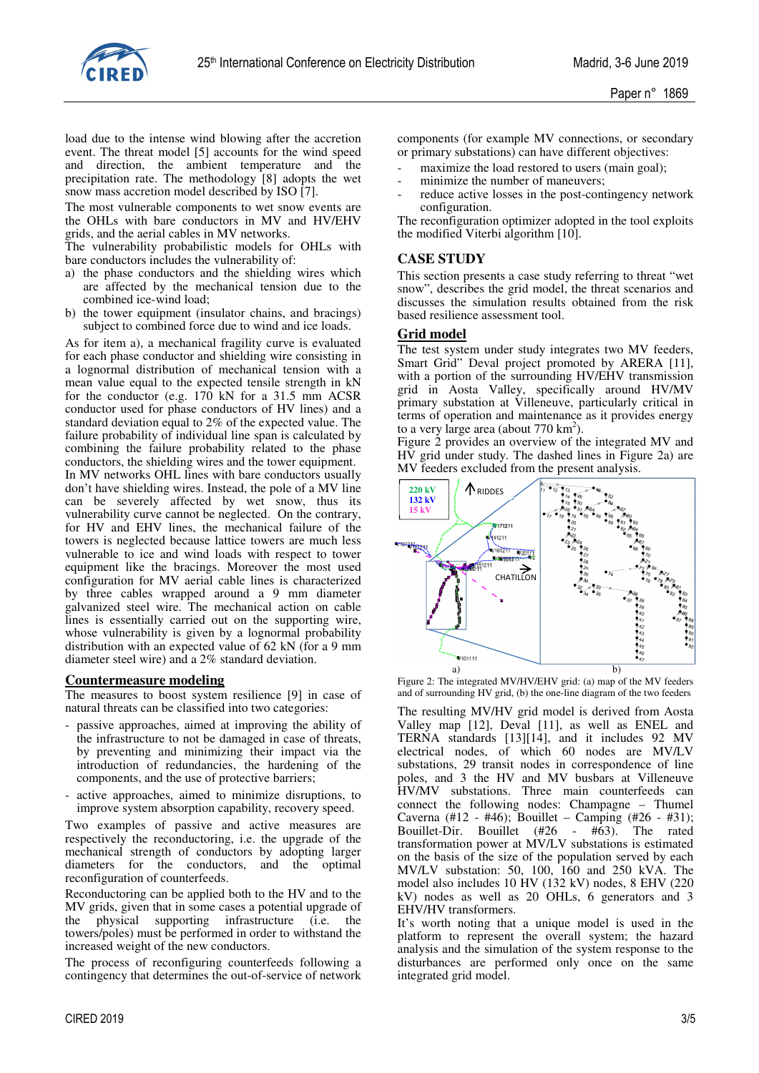

load due to the intense wind blowing after the accretion event. The threat model [5] accounts for the wind speed and direction, the ambient temperature and the precipitation rate. The methodology [8] adopts the wet snow mass accretion model described by ISO [7].

The most vulnerable components to wet snow events are the OHLs with bare conductors in MV and HV/EHV grids, and the aerial cables in MV networks.

The vulnerability probabilistic models for OHLs with bare conductors includes the vulnerability of:

- a) the phase conductors and the shielding wires which are affected by the mechanical tension due to the combined ice-wind load;
- b) the tower equipment (insulator chains, and bracings) subject to combined force due to wind and ice loads.

As for item a), a mechanical fragility curve is evaluated for each phase conductor and shielding wire consisting in a lognormal distribution of mechanical tension with a mean value equal to the expected tensile strength in kN for the conductor (e.g. 170 kN for a 31.5 mm ACSR conductor used for phase conductors of HV lines) and a standard deviation equal to 2% of the expected value. The failure probability of individual line span is calculated by combining the failure probability related to the phase conductors, the shielding wires and the tower equipment.

In MV networks OHL lines with bare conductors usually don't have shielding wires. Instead, the pole of a MV line can be severely affected by wet snow, thus its vulnerability curve cannot be neglected. On the contrary, for HV and EHV lines, the mechanical failure of the towers is neglected because lattice towers are much less vulnerable to ice and wind loads with respect to tower equipment like the bracings. Moreover the most used configuration for MV aerial cable lines is characterized by three cables wrapped around a 9 mm diameter galvanized steel wire. The mechanical action on cable lines is essentially carried out on the supporting wire, whose vulnerability is given by a lognormal probability distribution with an expected value of 62 kN (for a 9 mm diameter steel wire) and a 2% standard deviation.

### **Countermeasure modeling**

The measures to boost system resilience [9] in case of natural threats can be classified into two categories:

- passive approaches, aimed at improving the ability of the infrastructure to not be damaged in case of threats, by preventing and minimizing their impact via the introduction of redundancies, the hardening of the components, and the use of protective barriers;
- active approaches, aimed to minimize disruptions, to improve system absorption capability, recovery speed.

Two examples of passive and active measures are respectively the reconductoring, i.e. the upgrade of the mechanical strength of conductors by adopting larger diameters for the conductors, and the optimal reconfiguration of counterfeeds.

Reconductoring can be applied both to the HV and to the MV grids, given that in some cases a potential upgrade of the physical supporting infrastructure (i.e. the towers/poles) must be performed in order to withstand the increased weight of the new conductors.

The process of reconfiguring counterfeeds following a contingency that determines the out-of-service of network components (for example MV connections, or secondary or primary substations) can have different objectives:

- maximize the load restored to users (main goal);
- minimize the number of maneuvers;
- reduce active losses in the post-contingency network configuration.

The reconfiguration optimizer adopted in the tool exploits the modified Viterbi algorithm [10].

### **CASE STUDY**

This section presents a case study referring to threat "wet snow", describes the grid model, the threat scenarios and discusses the simulation results obtained from the risk based resilience assessment tool.

### **Grid model**

The test system under study integrates two MV feeders, Smart Grid" Deval project promoted by ARERA [11], with a portion of the surrounding HV/EHV transmission grid in Aosta Valley, specifically around HV/MV primary substation at Villeneuve, particularly critical in terms of operation and maintenance as it provides energy to a very large area (about  $770 \text{ km}^2$ ).

Figure 2 provides an overview of the integrated MV and HV grid under study. The dashed lines in Figure 2a) are MV feeders excluded from the present analysis.



Figure 2: The integrated MV/HV/EHV grid: (a) map of the MV feeders and of surrounding HV grid, (b) the one-line diagram of the two feeders

The resulting MV/HV grid model is derived from Aosta Valley map [12], Deval [11], as well as ENEL and TERNA standards [13][14], and it includes 92 MV electrical nodes, of which 60 nodes are MV/LV substations, 29 transit nodes in correspondence of line poles, and 3 the HV and MV busbars at Villeneuve HV/MV substations. Three main counterfeeds can connect the following nodes: Champagne – Thumel Caverna (#12 - #46); Bouillet – Camping (#26 - #31); Bouillet-Dir. Bouillet (#26 - #63). The rated transformation power at MV/LV substations is estimated on the basis of the size of the population served by each MV/LV substation: 50, 100, 160 and 250 kVA. The model also includes 10 HV (132 kV) nodes, 8 EHV (220 kV) nodes as well as 20 OHLs, 6 generators and 3 EHV/HV transformers.

It's worth noting that a unique model is used in the platform to represent the overall system; the hazard analysis and the simulation of the system response to the disturbances are performed only once on the same integrated grid model.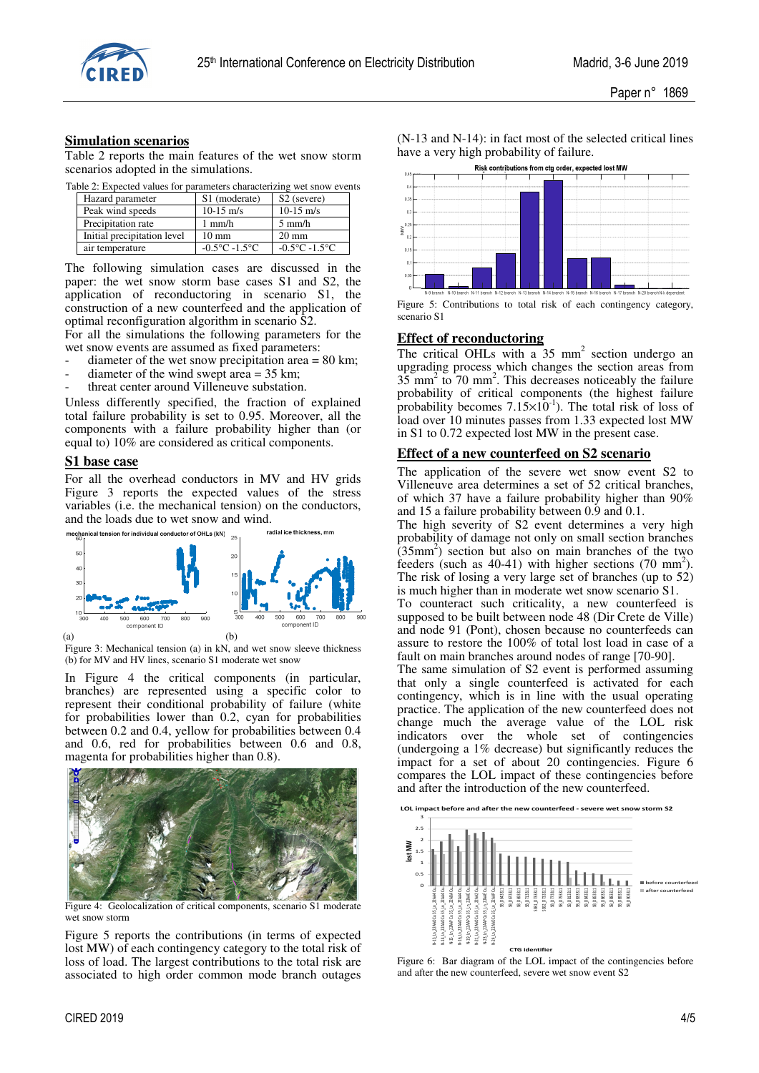

#### **Simulation scenarios**

Table 2 reports the main features of the wet snow storm scenarios adopted in the simulations.

Table 2: Expected values for parameters characterizing wet snow events

| Hazard parameter            | S1 (moderate)                     | S <sub>2</sub> (severe)           |  |
|-----------------------------|-----------------------------------|-----------------------------------|--|
| Peak wind speeds            | $10-15$ m/s                       | $10-15$ m/s                       |  |
| Precipitation rate          | $1 \text{ mm/h}$                  | $5 \text{ mm/h}$                  |  |
| Initial precipitation level | $10 \text{ mm}$                   | $20 \text{ mm}$                   |  |
| air temperature             | $-0.5^{\circ}$ C $-1.5^{\circ}$ C | $-0.5^{\circ}$ C $-1.5^{\circ}$ C |  |

The following simulation cases are discussed in the paper: the wet snow storm base cases S1 and S2, the application of reconductoring in scenario S1, the construction of a new counterfeed and the application of optimal reconfiguration algorithm in scenario S2.

For all the simulations the following parameters for the wet snow events are assumed as fixed parameters:

- diameter of the wet snow precipitation area  $= 80$  km;
- diameter of the wind swept area  $= 35$  km;
- threat center around Villeneuve substation.

Unless differently specified, the fraction of explained total failure probability is set to 0.95. Moreover, all the components with a failure probability higher than (or equal to) 10% are considered as critical components.

#### **S1 base case**

For all the overhead conductors in MV and HV grids Figure 3 reports the expected values of the stress variables (i.e. the mechanical tension) on the conductors, and the loads due to wet snow and wind.



Figure 3: Mechanical tension (a) in kN, and wet snow sleeve thickness (b) for MV and HV lines, scenario S1 moderate wet snow

In Figure 4 the critical components (in particular, branches) are represented using a specific color to represent their conditional probability of failure (white for probabilities lower than 0.2, cyan for probabilities between 0.2 and 0.4, yellow for probabilities between 0.4 and 0.6, red for probabilities between 0.6 and 0.8, magenta for probabilities higher than 0.8).



Figure 4: Geolocalization of critical components, scenario S1 moderate wet snow storm

Figure 5 reports the contributions (in terms of expected lost MW) of each contingency category to the total risk of loss of load. The largest contributions to the total risk are associated to high order common mode branch outages

(N-13 and N-14): in fact most of the selected critical lines have a very high probability of failure.



Figure 5: Contributions to total risk of each contingency category, scenario S1

#### **Effect of reconductoring**

The critical OHLs with a  $35 \text{ mm}^2$  section undergo an upgrading process which changes the section areas from  $35 \text{ mm}^2$  to  $70 \text{ mm}^2$ . This decreases noticeably the failure probability of critical components (the highest failure probability becomes  $7.15 \times 10^{-1}$ ). The total risk of loss of load over 10 minutes passes from 1.33 expected lost MW in S1 to 0.72 expected lost MW in the present case.

#### **Effect of a new counterfeed on S2 scenario**

The application of the severe wet snow event S2 to Villeneuve area determines a set of 52 critical branches, of which 37 have a failure probability higher than 90% and 15 a failure probability between 0.9 and 0.1.

The high severity of S2 event determines a very high probability of damage not only on small section branches  $(35mm<sup>2</sup>)$  section but also on main branches of the two feeders (such as  $40-41$ ) with higher sections (70 mm<sup>2</sup>). The risk of losing a very large set of branches (up to 52) is much higher than in moderate wet snow scenario S1.

To counteract such criticality, a new counterfeed is supposed to be built between node 48 (Dir Crete de Ville) and node 91 (Pont), chosen because no counterfeeds can assure to restore the 100% of total lost load in case of a fault on main branches around nodes of range [70-90].

The same simulation of S2 event is performed assuming that only a single counterfeed is activated for each contingency, which is in line with the usual operating practice. The application of the new counterfeed does not change much the average value of the LOL risk indicators over the whole set of contingencies (undergoing a 1% decrease) but significantly reduces the impact for a set of about 20 contingencies. Figure 6 compares the LOL impact of these contingencies before and after the introduction of the new counterfeed.



Figure 6: Bar diagram of the LOL impact of the contingencies before and after the new counterfeed, severe wet snow event S2